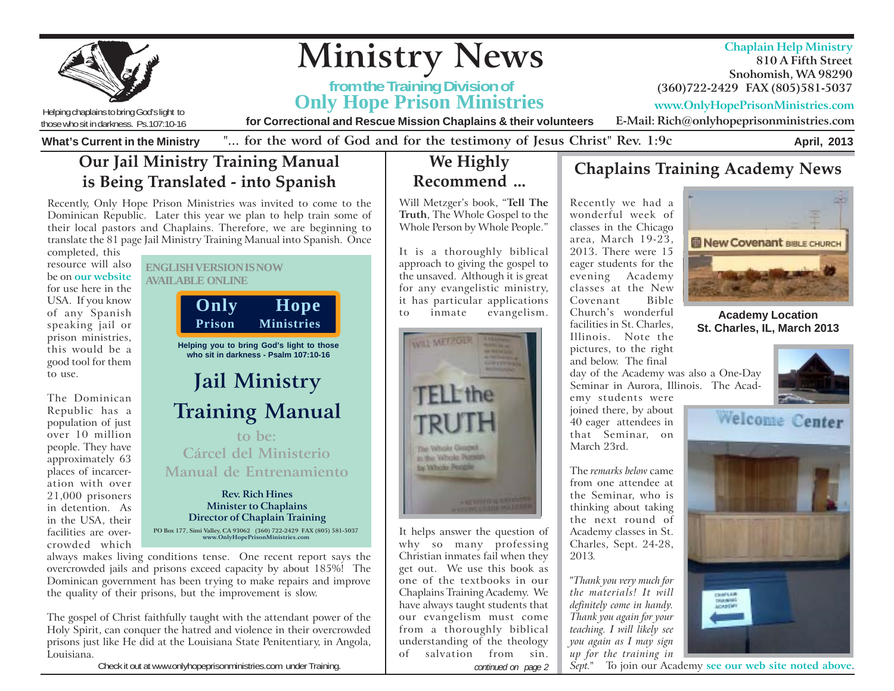

Check it out at www.onlyhopeprisonministries.com under Training. **Continued on page 2** *continued on page 2*